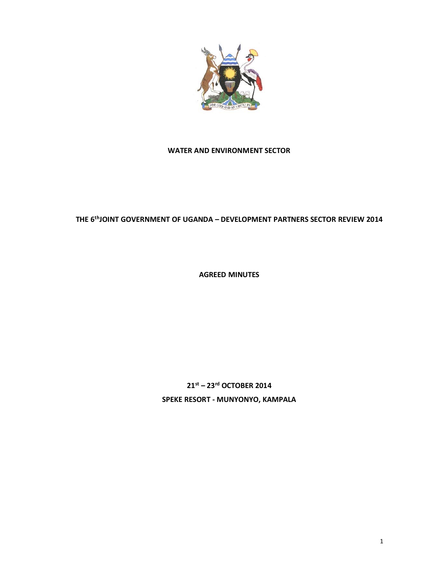

# **WATER AND ENVIRONMENT SECTOR**

# **THE 6thJOINT GOVERNMENT OF UGANDA – DEVELOPMENT PARTNERS SECTOR REVIEW 2014**

**AGREED MINUTES**

**21st – 23rd OCTOBER 2014 SPEKE RESORT - MUNYONYO, KAMPALA**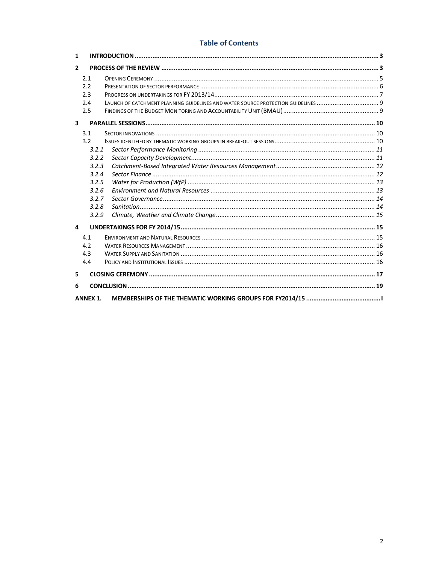# **Table of Contents**

| $\mathbf{1}$            |                 |  |  |  |
|-------------------------|-----------------|--|--|--|
| $\overline{2}$          |                 |  |  |  |
|                         | 2.1             |  |  |  |
|                         | 2.2             |  |  |  |
|                         | 2.3             |  |  |  |
|                         | 2.4             |  |  |  |
|                         | 2.5             |  |  |  |
| $\overline{\mathbf{3}}$ |                 |  |  |  |
|                         | 3.1             |  |  |  |
|                         | 3.2             |  |  |  |
|                         | 3.2.1           |  |  |  |
|                         | 3.2.2           |  |  |  |
|                         | 3.2.3           |  |  |  |
|                         | 3.2.4           |  |  |  |
|                         | 3.2.5           |  |  |  |
|                         | 3.2.6           |  |  |  |
|                         | 3.2.7           |  |  |  |
|                         | 3.2.8           |  |  |  |
|                         | 3.2.9           |  |  |  |
| 4                       |                 |  |  |  |
|                         | 4.1             |  |  |  |
|                         | 4.2             |  |  |  |
|                         | 4.3             |  |  |  |
|                         | 4.4             |  |  |  |
| 5                       |                 |  |  |  |
| 6                       |                 |  |  |  |
|                         | <b>ANNEX 1.</b> |  |  |  |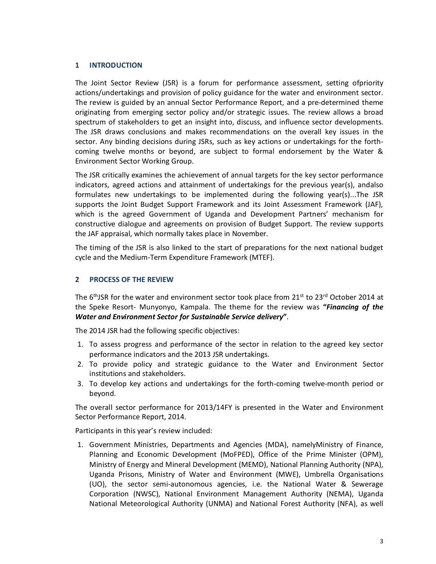# **1 INTRODUCTION**

The Joint Sector Review (JSR) is a forum for performance assessment, setting ofpriority actions/undertakings and provision of policy guidance for the water and environment sector. The review is guided by an annual Sector Performance Report, and a pre-determined theme originating from emerging sector policy and/or strategic issues. The review allows a broad spectrum of stakeholders to get an insight into, discuss, and influence sector developments. The JSR draws conclusions and makes recommendations on the overall key issues in the sector. Any binding decisions during JSRs, such as key actions or undertakings for the forthcoming twelve months or beyond, are subject to formal endorsement by the Water & Environment Sector Working Group.

The JSR critically examines the achievement of annual targets for the key sector performance indicators, agreed actions and attainment of undertakings for the previous year(s), andalso formulates new undertakings to be implemented during the following year(s)...The JSR supports the Joint Budget Support Framework and its Joint Assessment Framework (JAF), which is the agreed Government of Uganda and Development Partners' mechanism for constructive dialogue and agreements on provision of Budget Support. The review supports the JAF appraisal, which normally takes place in November.

The timing of the JSR is also linked to the start of preparations for the next national budget cycle and the Medium-Term Expenditure Framework (MTEF).

# **2 PROCESS OF THE REVIEW**

The  $6<sup>th</sup>$ JSR for the water and environment sector took place from 21<sup>st</sup> to 23<sup>rd</sup> October 2014 at the Speke Resort- Munyonyo, Kampala. The theme for the review was **"***Financing of the Water and Environment Sector for Sustainable Service delivery***"**.

The 2014 JSR had the following specific objectives:

- 1. To assess progress and performance of the sector in relation to the agreed key sector performance indicators and the 2013 JSR undertakings.
- 2. To provide policy and strategic guidance to the Water and Environment Sector institutions and stakeholders.
- 3. To develop key actions and undertakings for the forth-coming twelve-month period or beyond.

The overall sector performance for 2013/14FY is presented in the Water and Environment Sector Performance Report, 2014.

Participants in this year's review included:

1. Government Ministries, Departments and Agencies (MDA), namelyMinistry of Finance, Planning and Economic Development (MoFPED), Office of the Prime Minister (OPM), Ministry of Energy and Mineral Development (MEMD), National Planning Authority (NPA), Uganda Prisons, Ministry of Water and Environment (MWE), Umbrella Organisations (UO), the sector semi-autonomous agencies, i.e. the National Water & Sewerage Corporation (NWSC), National Environment Management Authority (NEMA), Uganda National Meteorological Authority (UNMA) and National Forest Authority (NFA), as well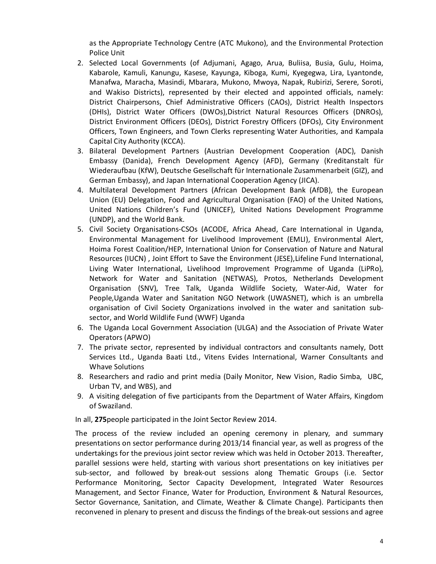as the Appropriate Technology Centre (ATC Mukono), and the Environmental Protection Police Unit

- 2. Selected Local Governments (of Adjumani, Agago, Arua, Buliisa, Busia, Gulu, Hoima, Kabarole, Kamuli, Kanungu, Kasese, Kayunga, Kiboga, Kumi, Kyegegwa, Lira, Lyantonde, Manafwa, Maracha, Masindi, Mbarara, Mukono, Mwoya, Napak, Rubirizi, Serere, Soroti, and Wakiso Districts), represented by their elected and appointed officials, namely: District Chairpersons, Chief Administrative Officers (CAOs), District Health Inspectors (DHIs), District Water Officers (DWOs),District Natural Resources Officers (DNROs), District Environment Officers (DEOs), District Forestry Officers (DFOs), City Environment Officers, Town Engineers, and Town Clerks representing Water Authorities, and Kampala Capital City Authority (KCCA).
- 3. Bilateral Development Partners (Austrian Development Cooperation (ADC), Danish Embassy (Danida), French Development Agency (AFD), Germany (Kreditanstalt für Wiederaufbau (KfW), Deutsche Gesellschaft für Internationale Zusammenarbeit (GIZ), and German Embassy), and Japan International Cooperation Agency (JICA).
- 4. Multilateral Development Partners (African Development Bank (AfDB), the European Union (EU) Delegation, Food and Agricultural Organisation (FAO) of the United Nations, United Nations Children's Fund (UNICEF), United Nations Development Programme (UNDP), and the World Bank.
- 5. Civil Society Organisations-CSOs (ACODE, Africa Ahead, Care International in Uganda, Environmental Management for Livelihood Improvement (EMLI), Environmental Alert, Hoima Forest Coalition/HEP, International Union for Conservation of Nature and Natural Resources (IUCN) , Joint Effort to Save the Environment (JESE),Lifeline Fund International, Living Water International, Livelihood Improvement Programme of Uganda (LiPRo), Network for Water and Sanitation (NETWAS), Protos, Netherlands Development Organisation (SNV), Tree Talk, Uganda Wildlife Society, Water-Aid, Water for People,Uganda Water and Sanitation NGO Network (UWASNET), which is an umbrella organisation of Civil Society Organizations involved in the water and sanitation subsector, and World Wildlife Fund (WWF) Uganda
- 6. The Uganda Local Government Association (ULGA) and the Association of Private Water Operators (APWO)
- 7. The private sector, represented by individual contractors and consultants namely, Dott Services Ltd., Uganda Baati Ltd., Vitens Evides International, Warner Consultants and Whave Solutions
- 8. Researchers and radio and print media (Daily Monitor, New Vision, Radio Simba, UBC, Urban TV, and WBS), and
- 9. A visiting delegation of five participants from the Department of Water Affairs, Kingdom of Swaziland.

In all, **275**people participated in the Joint Sector Review 2014.

The process of the review included an opening ceremony in plenary, and summary presentations on sector performance during 2013/14 financial year, as well as progress of the undertakings for the previous joint sector review which was held in October 2013. Thereafter, parallel sessions were held, starting with various short presentations on key initiatives per sub-sector, and followed by break-out sessions along Thematic Groups (i.e. Sector Performance Monitoring, Sector Capacity Development, Integrated Water Resources Management, and Sector Finance, Water for Production, Environment & Natural Resources, Sector Governance, Sanitation, and Climate, Weather & Climate Change). Participants then reconvened in plenary to present and discuss the findings of the break-out sessions and agree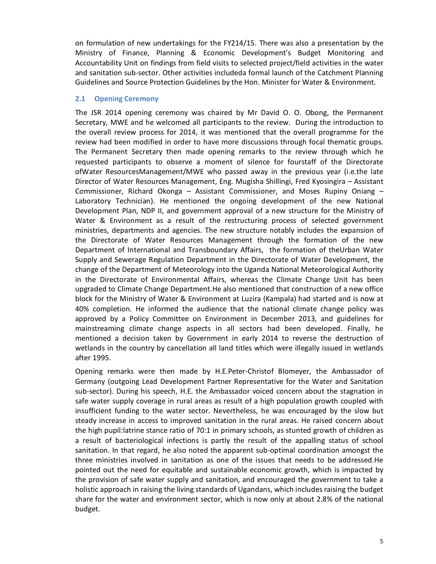on formulation of new undertakings for the FY214/15. There was also a presentation by the Ministry of Finance, Planning & Economic Development's Budget Monitoring and Accountability Unit on findings from field visits to selected project/field activities in the water and sanitation sub-sector. Other activities includeda formal launch of the Catchment Planning Guidelines and Source Protection Guidelines by the Hon. Minister for Water & Environment.

#### **2.1 Opening Ceremony**

The JSR 2014 opening ceremony was chaired by Mr David O. O. Obong, the Permanent Secretary, MWE and he welcomed all participants to the review. During the introduction to the overall review process for 2014, it was mentioned that the overall programme for the review had been modified in order to have more discussions through focal thematic groups. The Permanent Secretary then made opening remarks to the review through which he requested participants to observe a moment of silence for fourstaff of the Directorate ofWater ResourcesManagement/MWE who passed away in the previous year (i.e.the late Director of Water Resources Management, Eng. Mugisha Shillingi, Fred Kyosingira – Assistant Commissioner, Richard Okonga – Assistant Commissioner, and Moses Rupiny Oniang – Laboratory Technician). He mentioned the ongoing development of the new National Development Plan, NDP II, and government approval of a new structure for the Ministry of Water & Environment as a result of the restructuring process of selected government ministries, departments and agencies. The new structure notably includes the expansion of the Directorate of Water Resources Management through the formation of the new Department of International and Transboundary Affairs, the formation of theUrban Water Supply and Sewerage Regulation Department in the Directorate of Water Development, the change of the Department of Meteorology into the Uganda National Meteorological Authority in the Directorate of Environmental Affairs, whereas the Climate Change Unit has been upgraded to Climate Change Department.He also mentioned that construction of a new office block for the Ministry of Water & Environment at Luzira (Kampala) had started and is now at 40% completion. He informed the audience that the national climate change policy was approved by a Policy Committee on Environment in December 2013, and guidelines for mainstreaming climate change aspects in all sectors had been developed. Finally, he mentioned a decision taken by Government in early 2014 to reverse the destruction of wetlands in the country by cancellation all land titles which were illegally issued in wetlands after 1995.

Opening remarks were then made by H.E.Peter-Christof Blomeyer, the Ambassador of Germany (outgoing Lead Development Partner Representative for the Water and Sanitation sub-sector). During his speech, H.E. the Ambassador voiced concern about the stagnation in safe water supply coverage in rural areas as result of a high population growth coupled with insufficient funding to the water sector. Nevertheless, he was encouraged by the slow but steady increase in access to improved sanitation in the rural areas. He raised concern about the high pupil:latrine stance ratio of 70:1 in primary schools, as stunted growth of children as a result of bacteriological infections is partly the result of the appalling status of school sanitation. In that regard, he also noted the apparent sub-optimal coordination amongst the three ministries involved in sanitation as one of the issues that needs to be addressed.He pointed out the need for equitable and sustainable economic growth, which is impacted by the provision of safe water supply and sanitation, and encouraged the government to take a holistic approach in raising the living standards of Ugandans, which includes raising the budget share for the water and environment sector, which is now only at about 2.8% of the national budget.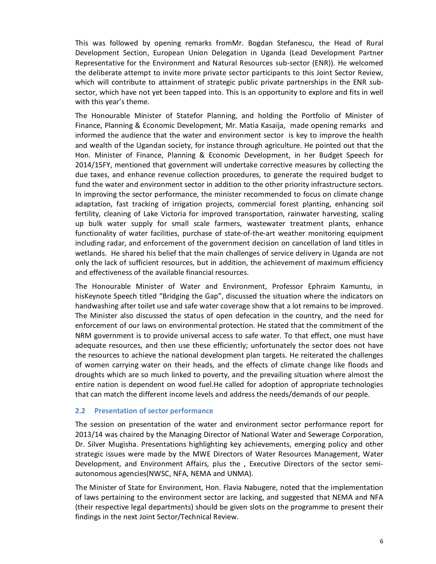This was followed by opening remarks fromMr. Bogdan Stefanescu, the Head of Rural Development Section, European Union Delegation in Uganda (Lead Development Partner Representative for the Environment and Natural Resources sub-sector (ENR)). He welcomed the deliberate attempt to invite more private sector participants to this Joint Sector Review, which will contribute to attainment of strategic public private partnerships in the ENR subsector, which have not yet been tapped into. This is an opportunity to explore and fits in well with this year's theme.

The Honourable Minister of Statefor Planning, and holding the Portfolio of Minister of Finance, Planning & Economic Development, Mr. Matia Kasaija, made opening remarks and informed the audience that the water and environment sector is key to improve the health and wealth of the Ugandan society, for instance through agriculture. He pointed out that the Hon. Minister of Finance, Planning & Economic Development, in her Budget Speech for 2014/15FY, mentioned that government will undertake corrective measures by collecting the due taxes, and enhance revenue collection procedures, to generate the required budget to fund the water and environment sector in addition to the other priority infrastructure sectors. In improving the sector performance, the minister recommended to focus on climate change adaptation, fast tracking of irrigation projects, commercial forest planting, enhancing soil fertility, cleaning of Lake Victoria for improved transportation, rainwater harvesting, scaling up bulk water supply for small scale farmers, wastewater treatment plants, enhance functionality of water facilities, purchase of state-of-the-art weather monitoring equipment including radar, and enforcement of the government decision on cancellation of land titles in wetlands. He shared his belief that the main challenges of service delivery in Uganda are not only the lack of sufficient resources, but in addition, the achievement of maximum efficiency and effectiveness of the available financial resources.

The Honourable Minister of Water and Environment, Professor Ephraim Kamuntu, in hisKeynote Speech titled "Bridging the Gap", discussed the situation where the indicators on handwashing after toilet use and safe water coverage show that a lot remains to be improved. The Minister also discussed the status of open defecation in the country, and the need for enforcement of our laws on environmental protection. He stated that the commitment of the NRM government is to provide universal access to safe water. To that effect, one must have adequate resources, and then use these efficiently; unfortunately the sector does not have the resources to achieve the national development plan targets. He reiterated the challenges of women carrying water on their heads, and the effects of climate change like floods and droughts which are so much linked to poverty, and the prevailing situation where almost the entire nation is dependent on wood fuel.He called for adoption of appropriate technologies that can match the different income levels and address the needs/demands of our people.

#### **2.2 Presentation of sector performance**

The session on presentation of the water and environment sector performance report for 2013/14 was chaired by the Managing Director of National Water and Sewerage Corporation, Dr. Silver Mugisha. Presentations highlighting key achievements, emerging policy and other strategic issues were made by the MWE Directors of Water Resources Management, Water Development, and Environment Affairs, plus the , Executive Directors of the sector semiautonomous agencies(NWSC, NFA, NEMA and UNMA).

The Minister of State for Environment, Hon. Flavia Nabugere, noted that the implementation of laws pertaining to the environment sector are lacking, and suggested that NEMA and NFA (their respective legal departments) should be given slots on the programme to present their findings in the next Joint Sector/Technical Review.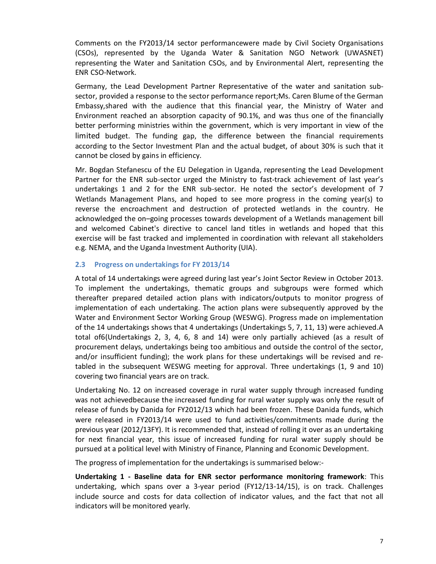Comments on the FY2013/14 sector performancewere made by Civil Society Organisations (CSOs), represented by the Uganda Water & Sanitation NGO Network (UWASNET) representing the Water and Sanitation CSOs, and by Environmental Alert, representing the ENR CSO-Network.

Germany, the Lead Development Partner Representative of the water and sanitation subsector, provided a response to the sector performance report;Ms. Caren Blume of the German Embassy,shared with the audience that this financial year, the Ministry of Water and Environment reached an absorption capacity of 90.1%, and was thus one of the financially better performing ministries within the government, which is very important in view of the limited budget. The funding gap, the difference between the financial requirements according to the Sector Investment Plan and the actual budget, of about 30% is such that it cannot be closed by gains in efficiency.

Mr. Bogdan Stefanescu of the EU Delegation in Uganda, representing the Lead Development Partner for the ENR sub-sector urged the Ministry to fast-track achievement of last year's undertakings 1 and 2 for the ENR sub-sector. He noted the sector's development of 7 Wetlands Management Plans, and hoped to see more progress in the coming year(s) to reverse the encroachment and destruction of protected wetlands in the country. He acknowledged the on–going processes towards development of a Wetlands management bill and welcomed Cabinet's directive to cancel land titles in wetlands and hoped that this exercise will be fast tracked and implemented in coordination with relevant all stakeholders e.g. NEMA, and the Uganda Investment Authority (UIA).

# **2.3 Progress on undertakings for FY 2013/14**

A total of 14 undertakings were agreed during last year's Joint Sector Review in October 2013. To implement the undertakings, thematic groups and subgroups were formed which thereafter prepared detailed action plans with indicators/outputs to monitor progress of implementation of each undertaking. The action plans were subsequently approved by the Water and Environment Sector Working Group (WESWG). Progress made on implementation of the 14 undertakings shows that 4 undertakings (Undertakings 5, 7, 11, 13) were achieved.A total of6(Undertakings 2, 3, 4, 6, 8 and 14) were only partially achieved (as a result of procurement delays, undertakings being too ambitious and outside the control of the sector, and/or insufficient funding); the work plans for these undertakings will be revised and retabled in the subsequent WESWG meeting for approval. Three undertakings (1, 9 and 10) covering two financial years are on track.

Undertaking No. 12 on increased coverage in rural water supply through increased funding was not achievedbecause the increased funding for rural water supply was only the result of release of funds by Danida for FY2012/13 which had been frozen. These Danida funds, which were released in FY2013/14 were used to fund activities/commitments made during the previous year (2012/13FY). It is recommended that, instead of rolling it over as an undertaking for next financial year, this issue of increased funding for rural water supply should be pursued at a political level with Ministry of Finance, Planning and Economic Development.

The progress of implementation for the undertakings is summarised below:-

**Undertaking 1 - Baseline data for ENR sector performance monitoring framework**: This undertaking, which spans over a 3-year period (FY12/13-14/15), is on track. Challenges include source and costs for data collection of indicator values, and the fact that not all indicators will be monitored yearly.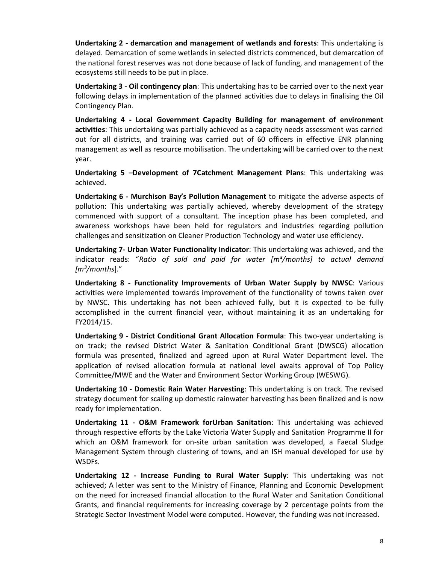**Undertaking 2 - demarcation and management of wetlands and forests**: This undertaking is delayed. Demarcation of some wetlands in selected districts commenced, but demarcation of the national forest reserves was not done because of lack of funding, and management of the ecosystems still needs to be put in place.

**Undertaking 3 - Oil contingency plan**: This undertaking has to be carried over to the next year following delays in implementation of the planned activities due to delays in finalising the Oil Contingency Plan.

**Undertaking 4 - Local Government Capacity Building for management of environment activities**: This undertaking was partially achieved as a capacity needs assessment was carried out for all districts, and training was carried out of 60 officers in effective ENR planning management as well as resource mobilisation. The undertaking will be carried over to the next year.

**Undertaking 5 –Development of 7Catchment Management Plans**: This undertaking was achieved.

**Undertaking 6 - Murchison Bay's Pollution Management** to mitigate the adverse aspects of pollution: This undertaking was partially achieved, whereby development of the strategy commenced with support of a consultant. The inception phase has been completed, and awareness workshops have been held for regulators and industries regarding pollution challenges and sensitization on Cleaner Production Technology and water use efficiency.

**Undertaking 7- Urban Water Functionality Indicator**: This undertaking was achieved, and the indicator reads: "*Ratio of sold and paid for water [m³/months] to actual demand [m³/months*]."

**Undertaking 8 - Functionality Improvements of Urban Water Supply by NWSC**: Various activities were implemented towards improvement of the functionality of towns taken over by NWSC. This undertaking has not been achieved fully, but it is expected to be fully accomplished in the current financial year, without maintaining it as an undertaking for FY2014/15.

**Undertaking 9 - District Conditional Grant Allocation Formula**: This two-year undertaking is on track; the revised District Water & Sanitation Conditional Grant (DWSCG) allocation formula was presented, finalized and agreed upon at Rural Water Department level. The application of revised allocation formula at national level awaits approval of Top Policy Committee/MWE and the Water and Environment Sector Working Group (WESWG).

**Undertaking 10 - Domestic Rain Water Harvesting**: This undertaking is on track. The revised strategy document for scaling up domestic rainwater harvesting has been finalized and is now ready for implementation.

**Undertaking 11 - O&M Framework forUrban Sanitation**: This undertaking was achieved through respective efforts by the Lake Victoria Water Supply and Sanitation Programme II for which an O&M framework for on-site urban sanitation was developed, a Faecal Sludge Management System through clustering of towns, and an ISH manual developed for use by WSDFs.

**Undertaking 12 - Increase Funding to Rural Water Supply**: This undertaking was not achieved; A letter was sent to the Ministry of Finance, Planning and Economic Development on the need for increased financial allocation to the Rural Water and Sanitation Conditional Grants, and financial requirements for increasing coverage by 2 percentage points from the Strategic Sector Investment Model were computed. However, the funding was not increased.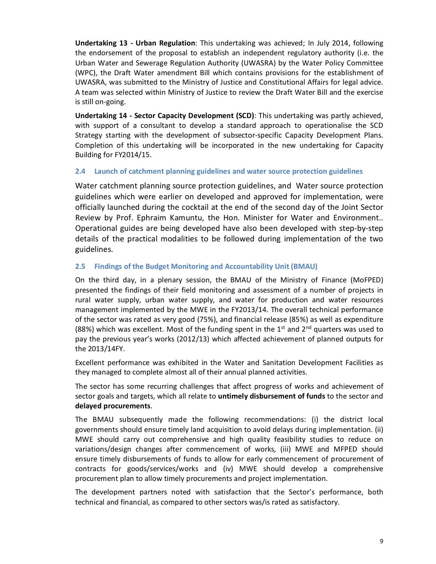**Undertaking 13 - Urban Regulation**: This undertaking was achieved; In July 2014, following the endorsement of the proposal to establish an independent regulatory authority (i.e. the Urban Water and Sewerage Regulation Authority (UWASRA) by the Water Policy Committee (WPC), the Draft Water amendment Bill which contains provisions for the establishment of UWASRA, was submitted to the Ministry of Justice and Constitutional Affairs for legal advice. A team was selected within Ministry of Justice to review the Draft Water Bill and the exercise is still on-going.

**Undertaking 14 - Sector Capacity Development (SCD)**: This undertaking was partly achieved, with support of a consultant to develop a standard approach to operationalise the SCD Strategy starting with the development of subsector-specific Capacity Development Plans. Completion of this undertaking will be incorporated in the new undertaking for Capacity Building for FY2014/15.

# **2.4 Launch of catchment planning guidelines and water source protection guidelines**

Water catchment planning source protection guidelines, and Water source protection guidelines which were earlier on developed and approved for implementation, were officially launched during the cocktail at the end of the second day of the Joint Sector Review by Prof. Ephraim Kamuntu, the Hon. Minister for Water and Environment.. Operational guides are being developed have also been developed with step-by-step details of the practical modalities to be followed during implementation of the two guidelines.

# **2.5 Findings of the Budget Monitoring and Accountability Unit (BMAU)**

On the third day, in a plenary session, the BMAU of the Ministry of Finance (MoFPED) presented the findings of their field monitoring and assessment of a number of projects in rural water supply, urban water supply, and water for production and water resources management implemented by the MWE in the FY2013/14. The overall technical performance of the sector was rated as very good (75%), and financial release (85%) as well as expenditure (88%) which was excellent. Most of the funding spent in the 1<sup>st</sup> and 2<sup>nd</sup> quarters was used to pay the previous year's works (2012/13) which affected achievement of planned outputs for the 2013/14FY.

Excellent performance was exhibited in the Water and Sanitation Development Facilities as they managed to complete almost all of their annual planned activities.

The sector has some recurring challenges that affect progress of works and achievement of sector goals and targets, which all relate to **untimely disbursement of funds** to the sector and **delayed procurements**.

The BMAU subsequently made the following recommendations: (i) the district local governments should ensure timely land acquisition to avoid delays during implementation. (ii) MWE should carry out comprehensive and high quality feasibility studies to reduce on variations/design changes after commencement of works, (iii) MWE and MFPED should ensure timely disbursements of funds to allow for early commencement of procurement of contracts for goods/services/works and (iv) MWE should develop a comprehensive procurement plan to allow timely procurements and project implementation.

The development partners noted with satisfaction that the Sector's performance, both technical and financial, as compared to other sectors was/is rated as satisfactory.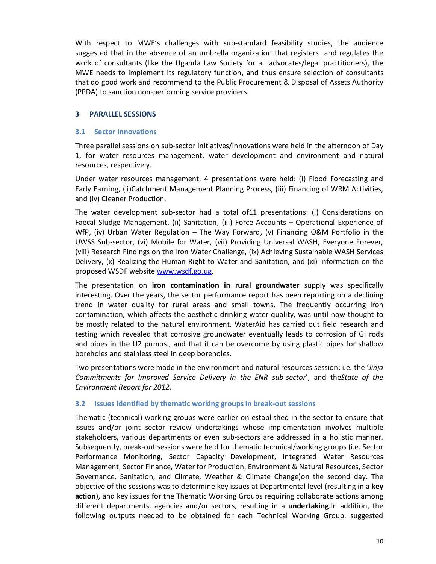With respect to MWE's challenges with sub-standard feasibility studies, the audience suggested that in the absence of an umbrella organization that registers and regulates the work of consultants (like the Uganda Law Society for all advocates/legal practitioners), the MWE needs to implement its regulatory function, and thus ensure selection of consultants that do good work and recommend to the Public Procurement & Disposal of Assets Authority (PPDA) to sanction non-performing service providers.

# **3 PARALLEL SESSIONS**

#### **3.1 Sector innovations**

Three parallel sessions on sub-sector initiatives/innovations were held in the afternoon of Day 1, for water resources management, water development and environment and natural resources, respectively.

Under water resources management, 4 presentations were held: (i) Flood Forecasting and Early Earning, (ii)Catchment Management Planning Process, (iii) Financing of WRM Activities, and (iv) Cleaner Production.

The water development sub-sector had a total of11 presentations: (i) Considerations on Faecal Sludge Management, (ii) Sanitation, (iii) Force Accounts – Operational Experience of WfP, (iv) Urban Water Regulation – The Way Forward, (v) Financing O&M Portfolio in the UWSS Sub-sector, (vi) Mobile for Water, (vii) Providing Universal WASH, Everyone Forever, (viii) Research Findings on the Iron Water Challenge, (ix) Achieving Sustainable WASH Services Delivery, (x) Realizing the Human Right to Water and Sanitation, and (xi) Information on the proposed WSDF website www.wsdf.go.ug.

The presentation on **iron contamination in rural groundwater** supply was specifically interesting. Over the years, the sector performance report has been reporting on a declining trend in water quality for rural areas and small towns. The frequently occurring iron contamination, which affects the aesthetic drinking water quality, was until now thought to be mostly related to the natural environment. WaterAid has carried out field research and testing which revealed that corrosive groundwater eventually leads to corrosion of GI rods and pipes in the U2 pumps., and that it can be overcome by using plastic pipes for shallow boreholes and stainless steel in deep boreholes.

Two presentations were made in the environment and natural resources session: i.e. the '*Jinja Commitments for Improved Service Delivery in the ENR sub-sector*', and the*State of the Environment Report for 2012.*

#### **3.2 Issues identified by thematic working groupsin break-out sessions**

Thematic (technical) working groups were earlier on established in the sector to ensure that issues and/or joint sector review undertakings whose implementation involves multiple stakeholders, various departments or even sub-sectors are addressed in a holistic manner. Subsequently, break-out sessions were held for thematic technical/working groups (i.e. Sector Performance Monitoring, Sector Capacity Development, Integrated Water Resources Management, Sector Finance, Water for Production, Environment & Natural Resources, Sector Governance, Sanitation, and Climate, Weather & Climate Change)on the second day. The objective of the sessions was to determine key issues at Departmental level (resulting in a **key action**), and key issues for the Thematic Working Groups requiring collaborate actions among different departments, agencies and/or sectors, resulting in a **undertaking**.In addition, the following outputs needed to be obtained for each Technical Working Group: suggested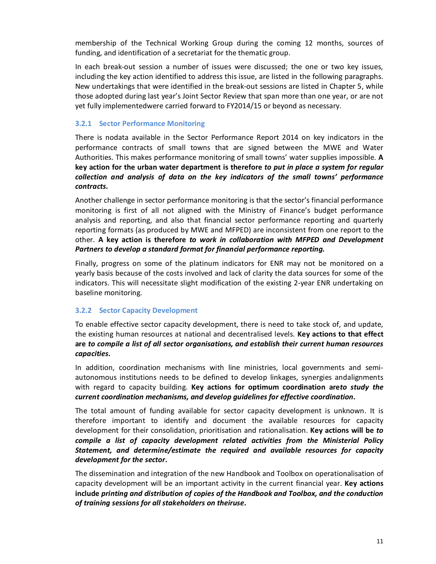membership of the Technical Working Group during the coming 12 months, sources of funding, and identification of a secretariat for the thematic group.

In each break-out session a number of issues were discussed; the one or two key issues, including the key action identified to address this issue, are listed in the following paragraphs. New undertakings that were identified in the break-out sessions are listed in Chapter 5, while those adopted during last year's Joint Sector Review that span more than one year, or are not yet fully implementedwere carried forward to FY2014/15 or beyond as necessary.

# **3.2.1 Sector Performance Monitoring**

There is nodata available in the Sector Performance Report 2014 on key indicators in the performance contracts of small towns that are signed between the MWE and Water Authorities. This makes performance monitoring of small towns' water supplies impossible. **A key action for the urban water department is therefore** *to put in place a system for regular collection and analysis of data on the key indicators of the small towns' performance contracts.* 

Another challenge in sector performance monitoring is that the sector's financial performance monitoring is first of all not aligned with the Ministry of Finance's budget performance analysis and reporting, and also that financial sector performance reporting and quarterly reporting formats (as produced by MWE and MFPED) are inconsistent from one report to the other. **A key action is therefore** *to work in collaboration with MFPED and Development Partners to develop a standard format for financial performance reporting.*

Finally, progress on some of the platinum indicators for ENR may not be monitored on a yearly basis because of the costs involved and lack of clarity the data sources for some of the indicators. This will necessitate slight modification of the existing 2-year ENR undertaking on baseline monitoring.

#### **3.2.2 Sector Capacity Development**

To enable effective sector capacity development, there is need to take stock of, and update, the existing human resources at national and decentralised levels. **Key actions to that effect are** *to compile a list of all sector organisations, and establish their current human resources capacities***.**

In addition, coordination mechanisms with line ministries, local governments and semiautonomous institutions needs to be defined to develop linkages, synergies andalignments with regard to capacity building. **Key actions for optimum coordination are***to study the current coordination mechanisms, and develop guidelines for effective coordination***.**

The total amount of funding available for sector capacity development is unknown. It is therefore important to identify and document the available resources for capacity development for their consolidation, prioritisation and rationalisation. **Key actions will be** *to compile a list of capacity development related activities from the Ministerial Policy Statement, and determine/estimate the required and available resources for capacity development for the sector***.**

The dissemination and integration of the new Handbook and Toolbox on operationalisation of capacity development will be an important activity in the current financial year. **Key actions include** *printing and distribution of copies of the Handbook and Toolbox, and the conduction of training sessions for all stakeholders on theiruse***.**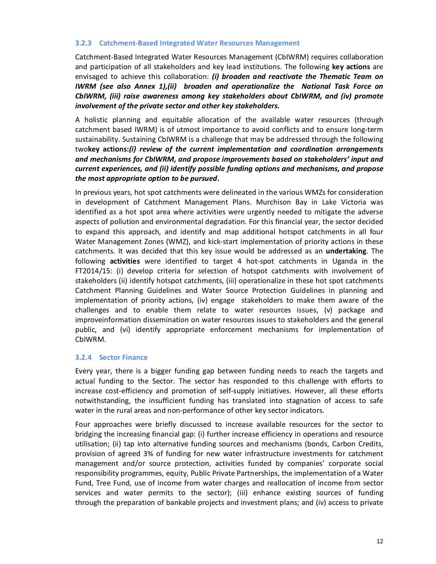# **3.2.3 Catchment-Based Integrated Water Resources Management**

Catchment-Based Integrated Water Resources Management (CbIWRM) requires collaboration and participation of all stakeholders and key lead institutions. The following **key actions** are envisaged to achieve this collaboration: *(i) broaden and reactivate the Thematic Team on IWRM (see also Annex 1),(ii) broaden and operationalize the National Task Force on CbIWRM, (iii) raise awareness among key stakeholders about CbIWRM, and (iv) promote involvement of the private sector and other key stakeholders.*

A holistic planning and equitable allocation of the available water resources (through catchment based IWRM) is of utmost importance to avoid conflicts and to ensure long-term sustainability. Sustaining CbIWRM is a challenge that may be addressed through the following two**key actions:***(i) review of the current implementation and coordination arrangements and mechanisms for CbIWRM, and propose improvements based on stakeholders' input and current experiences, and (ii) identify possible funding options and mechanisms, and propose the most appropriate option to be pursued***.**

In previous years, hot spot catchments were delineated in the various WMZs for consideration in development of Catchment Management Plans. Murchison Bay in Lake Victoria was identified as a hot spot area where activities were urgently needed to mitigate the adverse aspects of pollution and environmental degradation. For this financial year, the sector decided to expand this approach, and identify and map additional hotspot catchments in all four Water Management Zones (WMZ), and kick-start implementation of priority actions in these catchments. It was decided that this key issue would be addressed as an **undertaking**. The following **activities** were identified to target 4 hot-spot catchments in Uganda in the FT2014/15: (i) develop criteria for selection of hotspot catchments with involvement of stakeholders (ii) identify hotspot catchments, (iii) operationalize in these hot spot catchments Catchment Planning Guidelines and Water Source Protection Guidelines in planning and implementation of priority actions, (iv) engage stakeholders to make them aware of the challenges and to enable them relate to water resources issues, (v) package and improveinformation dissemination on water resources issues to stakeholders and the general public, and (vi) identify appropriate enforcement mechanisms for implementation of CbIWRM.

#### **3.2.4 Sector Finance**

Every year, there is a bigger funding gap between funding needs to reach the targets and actual funding to the Sector. The sector has responded to this challenge with efforts to increase cost-efficiency and promotion of self-supply initiatives. However, all these efforts notwithstanding, the insufficient funding has translated into stagnation of access to safe water in the rural areas and non-performance of other key sector indicators.

Four approaches were briefly discussed to increase available resources for the sector to bridging the increasing financial gap: (i) further increase efficiency in operations and resource utilisation; (ii) tap into alternative funding sources and mechanisms (bonds, Carbon Credits, provision of agreed 3% of funding for new water infrastructure investments for catchment management and/or source protection, activities funded by companies' corporate social responsibility programmes, equity, Public Private Partnerships, the implementation of a Water Fund, Tree Fund, use of income from water charges and reallocation of income from sector services and water permits to the sector); (iii) enhance existing sources of funding through the preparation of bankable projects and investment plans; and (iv) access to private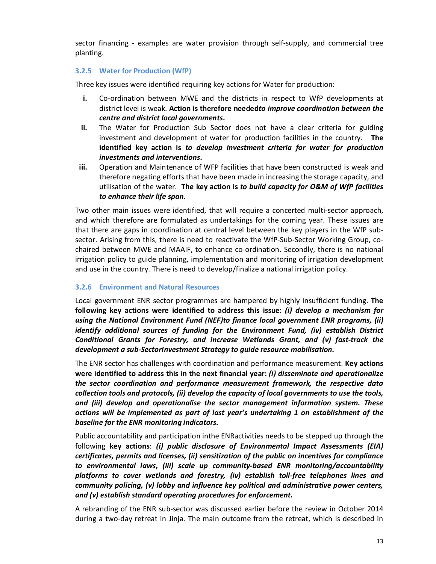sector financing - examples are water provision through self-supply, and commercial tree planting.

# **3.2.5 Water for Production (WfP)**

Three key issues were identified requiring key actions for Water for production:

- **i.** Co-ordination between MWE and the districts in respect to WfP developments at district level is weak. **Action is therefore needed***to improve coordination between the centre and district local governments***.**
- **ii.** The Water for Production Sub Sector does not have a clear criteria for guiding investment and development of water for production facilities in the country. **The identified key action is** *to develop investment criteria for water for production investments and interventions***.**
- **iii.** Operation and Maintenance of WFP facilities that have been constructed is weak and therefore negating efforts that have been made in increasing the storage capacity, and utilisation of the water. **The key action is** *to build capacity for O&M of WfP facilities to enhance their life span***.**

Two other main issues were identified, that will require a concerted multi-sector approach, and which therefore are formulated as undertakings for the coming year. These issues are that there are gaps in coordination at central level between the key players in the WfP subsector. Arising from this, there is need to reactivate the WfP-Sub-Sector Working Group, cochaired between MWE and MAAIF, to enhance co-ordination. Secondly, there is no national irrigation policy to guide planning, implementation and monitoring of irrigation development and use in the country. There is need to develop/finalize a national irrigation policy.

# **3.2.6 Environment and Natural Resources**

Local government ENR sector programmes are hampered by highly insufficient funding. **The following key actions were identified to address this issue:** *(i) develop a mechanism for using the National Environment Fund (NEF)to finance local government ENR programs, (ii) identify additional sources of funding for the Environment Fund, (iv) establish District Conditional Grants for Forestry, and increase Wetlands Grant, and (v) fast-track the development a sub-SectorInvestment Strategy to guide resource mobilisation.*

The ENR sector has challenges with coordination and performance measurement. **Key actions were identified to address this in the next financial year:** *(i) disseminate and operationalize the sector coordination and performance measurement framework, the respective data collection tools and protocols, (ii) develop the capacity of local governments to use the tools, and (iii) develop and operationalise the sector management information system. These actions will be implemented as part of last year's undertaking 1 on establishment of the baseline for the ENR monitoring indicators.*

Public accountability and participation inthe ENRactivities needs to be stepped up through the following **key actions**: *(i) public disclosure of Environmental Impact Assessments (EIA) certificates, permits and licenses, (ii) sensitization of the public on incentives for compliance to environmental laws, (iii) scale up community-based ENR monitoring/accountability platforms to cover wetlands and forestry, (iv) establish toll-free telephones lines and community policing, (v) lobby and influence key political and administrative power centers, and (v) establish standard operating procedures for enforcement.*

A rebranding of the ENR sub-sector was discussed earlier before the review in October 2014 during a two-day retreat in Jinja. The main outcome from the retreat, which is described in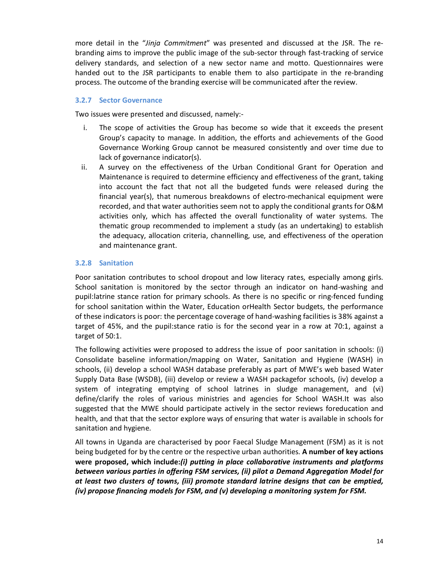more detail in the "*Jinja Commitment*" was presented and discussed at the JSR. The rebranding aims to improve the public image of the sub-sector through fast-tracking of service delivery standards, and selection of a new sector name and motto. Questionnaires were handed out to the JSR participants to enable them to also participate in the re-branding process. The outcome of the branding exercise will be communicated after the review.

# **3.2.7 Sector Governance**

Two issues were presented and discussed, namely:-

- i. The scope of activities the Group has become so wide that it exceeds the present Group's capacity to manage. In addition, the efforts and achievements of the Good Governance Working Group cannot be measured consistently and over time due to lack of governance indicator(s).
- ii. A survey on the effectiveness of the Urban Conditional Grant for Operation and Maintenance is required to determine efficiency and effectiveness of the grant, taking into account the fact that not all the budgeted funds were released during the financial year(s), that numerous breakdowns of electro-mechanical equipment were recorded, and that water authorities seem not to apply the conditional grants for O&M activities only, which has affected the overall functionality of water systems. The thematic group recommended to implement a study (as an undertaking) to establish the adequacy, allocation criteria, channelling, use, and effectiveness of the operation and maintenance grant.

# **3.2.8 Sanitation**

Poor sanitation contributes to school dropout and low literacy rates, especially among girls. School sanitation is monitored by the sector through an indicator on hand-washing and pupil:latrine stance ration for primary schools. As there is no specific or ring-fenced funding for school sanitation within the Water, Education orHealth Sector budgets, the performance of these indicators is poor: the percentage coverage of hand-washing facilities is 38% against a target of 45%, and the pupil:stance ratio is for the second year in a row at 70:1, against a target of 50:1.

The following activities were proposed to address the issue of poor sanitation in schools: (i) Consolidate baseline information/mapping on Water, Sanitation and Hygiene (WASH) in schools, (ii) develop a school WASH database preferably as part of MWE's web based Water Supply Data Base (WSDB), (iii) develop or review a WASH packagefor schools, (iv) develop a system of integrating emptying of school latrines in sludge management, and (vi) define/clarify the roles of various ministries and agencies for School WASH.It was also suggested that the MWE should participate actively in the sector reviews foreducation and health, and that that the sector explore ways of ensuring that water is available in schools for sanitation and hygiene.

All towns in Uganda are characterised by poor Faecal Sludge Management (FSM) as it is not being budgeted for by the centre or the respective urban authorities. **A number of key actions were proposed, which include:***(i) putting in place collaborative instruments and platforms between various parties in offering FSM services, (ii) pilot a Demand Aggregation Model for at least two clusters of towns, (iii) promote standard latrine designs that can be emptied, (iv) propose financing models for FSM, and (v) developing a monitoring system for FSM.*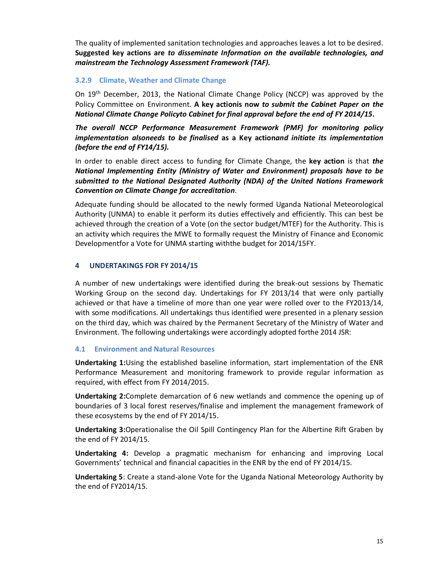The quality of implemented sanitation technologies and approaches leaves a lot to be desired. **Suggested key actions are** *to disseminate Information on the available technologies, and mainstream the Technology Assessment Framework (TAF).*

# **3.2.9 Climate, Weather and Climate Change**

On 19<sup>th</sup> December, 2013, the National Climate Change Policy (NCCP) was approved by the Policy Committee on Environment. **A key actionis now** *to submit the Cabinet Paper on the National Climate Change Policyto Cabinet for final approval before the end of FY 2014/15***.**

*The overall NCCP Performance Measurement Framework (PMF) for monitoring policy implementation alsoneeds to be finalised* **as a Key action***and initiate its implementation (before the end of FY14/15).*

In order to enable direct access to funding for Climate Change, the **key action** is that *the National Implementing Entity (Ministry of Water and Environment) proposals have to be submitted to the National Designated Authority (NDA) of the United Nations Framework Convention on Climate Change for accreditation*.

Adequate funding should be allocated to the newly formed Uganda National Meteorological Authority (UNMA) to enable it perform its duties effectively and efficiently. This can best be achieved through the creation of a Vote (on the sector budget/MTEF) for the Authority. This is an activity which requires the MWE to formally request the Ministry of Finance and Economic Developmentfor a Vote for UNMA starting withthe budget for 2014/15FY.

# **4 UNDERTAKINGS FOR FY 2014/15**

A number of new undertakings were identified during the break-out sessions by Thematic Working Group on the second day. Undertakings for FY 2013/14 that were only partially achieved or that have a timeline of more than one year were rolled over to the FY2013/14, with some modifications. All undertakings thus identified were presented in a plenary session on the third day, which was chaired by the Permanent Secretary of the Ministry of Water and Environment. The following undertakings were accordingly adopted forthe 2014 JSR:

# **4.1 Environment and Natural Resources**

**Undertaking 1:**Using the established baseline information, start implementation of the ENR Performance Measurement and monitoring framework to provide regular information as required, with effect from FY 2014/2015.

**Undertaking 2:**Complete demarcation of 6 new wetlands and commence the opening up of boundaries of 3 local forest reserves/finalise and implement the management framework of these ecosystems by the end of FY 2014/15.

**Undertaking 3:**Operationalise the Oil Spill Contingency Plan for the Albertine Rift Graben by the end of FY 2014/15.

**Undertaking 4:** Develop a pragmatic mechanism for enhancing and improving Local Governments' technical and financial capacities in the ENR by the end of FY 2014/15.

**Undertaking 5**: Create a stand-alone Vote for the Uganda National Meteorology Authority by the end of FY2014/15.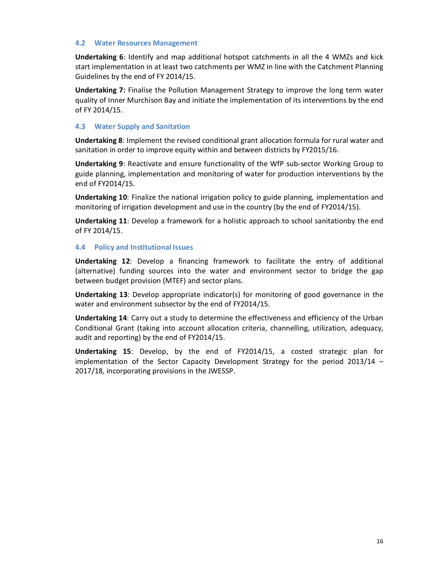#### **4.2 Water Resources Management**

**Undertaking 6**: Identify and map additional hotspot catchments in all the 4 WMZs and kick start implementation in at least two catchments per WMZ in line with the Catchment Planning Guidelines by the end of FY 2014/15.

**Undertaking 7:** Finalise the Pollution Management Strategy to improve the long term water quality of Inner Murchison Bay and initiate the implementation of its interventions by the end of FY 2014/15.

#### **4.3 Water Supply and Sanitation**

**Undertaking 8**: Implement the revised conditional grant allocation formula for rural water and sanitation in order to improve equity within and between districts by FY2015/16.

**Undertaking 9**: Reactivate and ensure functionality of the WfP sub-sector Working Group to guide planning, implementation and monitoring of water for production interventions by the end of FY2014/15.

**Undertaking 10**: Finalize the national irrigation policy to guide planning, implementation and monitoring of irrigation development and use in the country (by the end of FY2014/15).

**Undertaking 11**: Develop a framework for a holistic approach to school sanitationby the end of FY 2014/15.

#### **4.4 Policy and Institutional Issues**

**Undertaking 12**: Develop a financing framework to facilitate the entry of additional (alternative) funding sources into the water and environment sector to bridge the gap between budget provision (MTEF) and sector plans.

**Undertaking 13**: Develop appropriate indicator(s) for monitoring of good governance in the water and environment subsector by the end of FY2014/15.

**Undertaking 14**: Carry out a study to determine the effectiveness and efficiency of the Urban Conditional Grant (taking into account allocation criteria, channelling, utilization, adequacy, audit and reporting) by the end of FY2014/15.

**Undertaking 15**: Develop, by the end of FY2014/15, a costed strategic plan for implementation of the Sector Capacity Development Strategy for the period 2013/14 – 2017/18, incorporating provisions in the JWESSP.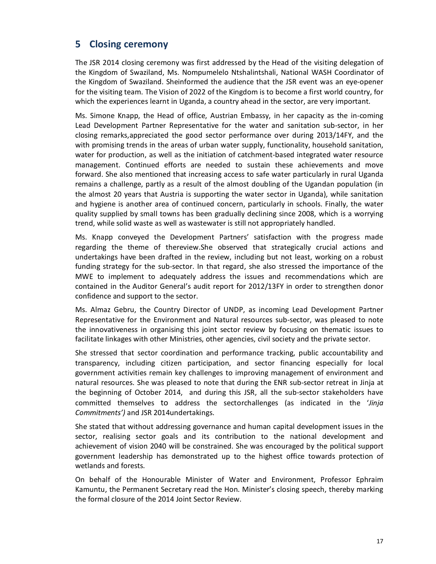# **5 Closing ceremony**

The JSR 2014 closing ceremony was first addressed by the Head of the visiting delegation of the Kingdom of Swaziland, Ms. Nompumelelo Ntshalintshali, National WASH Coordinator of the Kingdom of Swaziland. Sheinformed the audience that the JSR event was an eye-opener for the visiting team. The Vision of 2022 of the Kingdom is to become a first world country, for which the experiences learnt in Uganda, a country ahead in the sector, are very important.

Ms. Simone Knapp, the Head of office, Austrian Embassy, in her capacity as the in-coming Lead Development Partner Representative for the water and sanitation sub-sector, in her closing remarks,appreciated the good sector performance over during 2013/14FY, and the with promising trends in the areas of urban water supply, functionality, household sanitation, water for production, as well as the initiation of catchment-based integrated water resource management. Continued efforts are needed to sustain these achievements and move forward. She also mentioned that increasing access to safe water particularly in rural Uganda remains a challenge, partly as a result of the almost doubling of the Ugandan population (in the almost 20 years that Austria is supporting the water sector in Uganda), while sanitation and hygiene is another area of continued concern, particularly in schools. Finally, the water quality supplied by small towns has been gradually declining since 2008, which is a worrying trend, while solid waste as well as wastewater is still not appropriately handled.

Ms. Knapp conveyed the Development Partners' satisfaction with the progress made regarding the theme of thereview.She observed that strategically crucial actions and undertakings have been drafted in the review, including but not least, working on a robust funding strategy for the sub-sector. In that regard, she also stressed the importance of the MWE to implement to adequately address the issues and recommendations which are contained in the Auditor General's audit report for 2012/13FY in order to strengthen donor confidence and support to the sector.

Ms. Almaz Gebru, the Country Director of UNDP, as incoming Lead Development Partner Representative for the Environment and Natural resources sub-sector, was pleased to note the innovativeness in organising this joint sector review by focusing on thematic issues to facilitate linkages with other Ministries, other agencies, civil society and the private sector.

She stressed that sector coordination and performance tracking, public accountability and transparency, including citizen participation, and sector financing especially for local government activities remain key challenges to improving management of environment and natural resources. She was pleased to note that during the ENR sub-sector retreat in Jinja at the beginning of October 2014, and during this JSR, all the sub-sector stakeholders have committed themselves to address the sectorchallenges (as indicated in the '*Jinja Commitments')* and JSR 2014undertakings.

She stated that without addressing governance and human capital development issues in the sector, realising sector goals and its contribution to the national development and achievement of vision 2040 will be constrained. She was encouraged by the political support government leadership has demonstrated up to the highest office towards protection of wetlands and forests.

On behalf of the Honourable Minister of Water and Environment, Professor Ephraim Kamuntu, the Permanent Secretary read the Hon. Minister's closing speech, thereby marking the formal closure of the 2014 Joint Sector Review.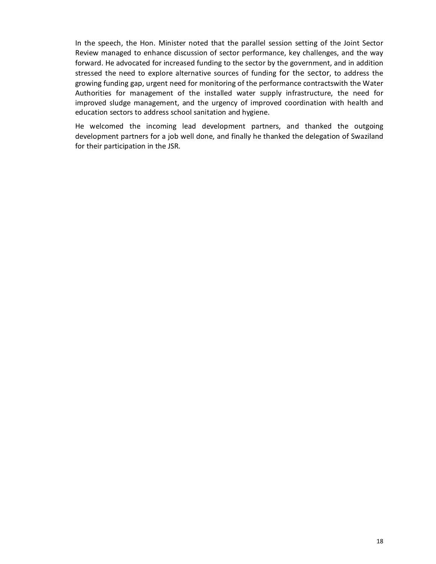In the speech, the Hon. Minister noted that the parallel session setting of the Joint Sector Review managed to enhance discussion of sector performance, key challenges, and the way forward. He advocated for increased funding to the sector by the government, and in addition stressed the need to explore alternative sources of funding for the sector, to address the growing funding gap, urgent need for monitoring of the performance contractswith the Water Authorities for management of the installed water supply infrastructure, the need for improved sludge management, and the urgency of improved coordination with health and education sectors to address school sanitation and hygiene.

He welcomed the incoming lead development partners, and thanked the outgoing development partners for a job well done, and finally he thanked the delegation of Swaziland for their participation in the JSR.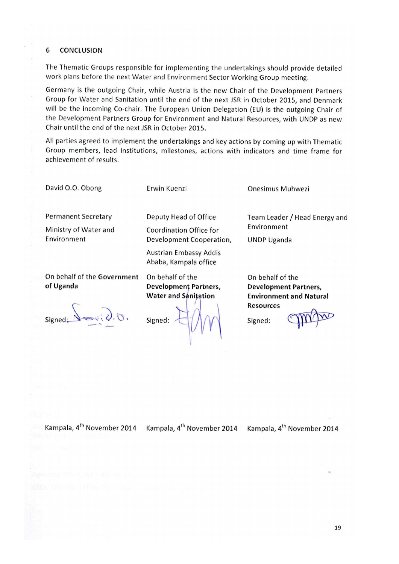#### 6 **CONCLUSION**

The Thematic Groups responsible for implementing the undertakings should provide detailed work plans before the next Water and Environment Sector Working Group meeting.

Germany is the outgoing Chair, while Austria is the new Chair of the Development Partners Group for Water and Sanitation until the end of the next JSR in October 2015, and Denmark will be the incoming Co-chair. The European Union Delegation (EU) is the outgoing Chair of the Development Partners Group for Environment and Natural Resources, with UNDP as new Chair until the end of the next JSR in October 2015.

All parties agreed to implement the undertakings and key actions by coming up with Thematic Group members, lead institutions, milestones, actions with indicators and time frame for achievement of results.

David O.O. Obong

Erwin Kuenzi

**Permanent Secretary** 

Ministry of Water and Environment

On behalf of the Government of Uganda

Deputy Head of Office Coordination Office for Development Cooperation,

**Austrian Embassy Addis** Ababa, Kampala office

On behalf of the **Development Partners, Water and Sanitation** 

Signed:

**Onesimus Muhwezi** 

Team Leader / Head Energy and Environment

**UNDP Uganda** 

On behalf of the **Development Partners, Environment and Natural Resources** 

Signed:

Kampala, 4<sup>th</sup> November 2014 Kampala, 4<sup>th</sup> November 2014 Kampala, 4<sup>th</sup> November 2014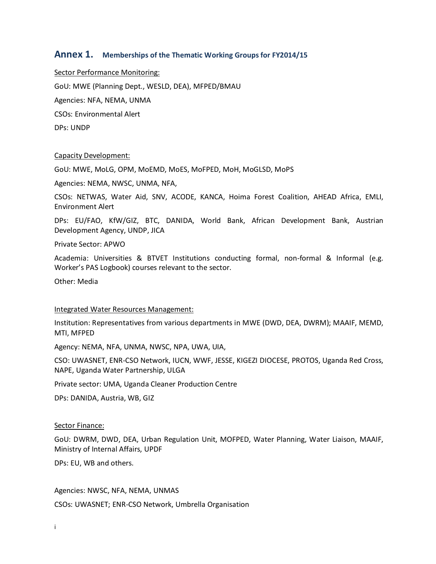# **Annex 1. Memberships of the Thematic Working Groups for FY2014/15**

Sector Performance Monitoring: GoU: MWE (Planning Dept., WESLD, DEA), MFPED/BMAU Agencies: NFA, NEMA, UNMA CSOs: Environmental Alert DPs: UNDP

#### Capacity Development:

GoU: MWE, MoLG, OPM, MoEMD, MoES, MoFPED, MoH, MoGLSD, MoPS

Agencies: NEMA, NWSC, UNMA, NFA,

CSOs: NETWAS, Water Aid, SNV, ACODE, KANCA, Hoima Forest Coalition, AHEAD Africa, EMLI, Environment Alert

DPs: EU/FAO, KfW/GIZ, BTC, DANIDA, World Bank, African Development Bank, Austrian Development Agency, UNDP, JICA

Private Sector: APWO

Academia: Universities & BTVET Institutions conducting formal, non-formal & Informal (e.g. Worker's PAS Logbook) courses relevant to the sector.

Other: Media

#### Integrated Water Resources Management:

Institution: Representatives from various departments in MWE (DWD, DEA, DWRM); MAAIF, MEMD, MTI, MFPED

Agency: NEMA, NFA, UNMA, NWSC, NPA, UWA, UIA,

CSO: UWASNET, ENR-CSO Network, IUCN, WWF, JESSE, KIGEZI DIOCESE, PROTOS, Uganda Red Cross, NAPE, Uganda Water Partnership, ULGA

Private sector: UMA, Uganda Cleaner Production Centre

DPs: DANIDA, Austria, WB, GIZ

#### Sector Finance:

GoU: DWRM, DWD, DEA, Urban Regulation Unit, MOFPED, Water Planning, Water Liaison, MAAIF, Ministry of Internal Affairs, UPDF

DPs: EU, WB and others.

Agencies: NWSC, NFA, NEMA, UNMAS

CSOs: UWASNET; ENR-CSO Network, Umbrella Organisation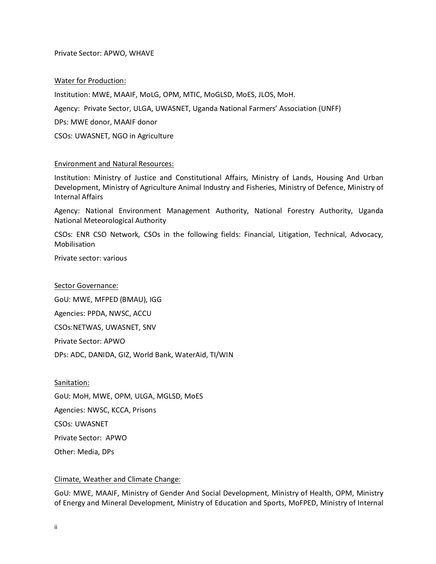#### Private Sector: APWO, WHAVE

#### Water for Production:

Institution: MWE, MAAIF, MoLG, OPM, MTIC, MoGLSD, MoES, JLOS, MoH.

Agency: Private Sector, ULGA, UWASNET, Uganda National Farmers' Association (UNFF)

DPs: MWE donor, MAAIF donor

CSOs: UWASNET, NGO in Agriculture

#### Environment and Natural Resources:

Institution: Ministry of Justice and Constitutional Affairs, Ministry of Lands, Housing And Urban Development, Ministry of Agriculture Animal Industry and Fisheries, Ministry of Defence, Ministry of Internal Affairs

Agency: National Environment Management Authority, National Forestry Authority, Uganda National Meteorological Authority

CSOs: ENR CSO Network, CSOs in the following fields: Financial, Litigation, Technical, Advocacy, Mobilisation

Private sector: various

#### Sector Governance:

GoU: MWE, MFPED (BMAU), IGG Agencies: PPDA, NWSC, ACCU CSOs:NETWAS, UWASNET, SNV Private Sector: APWO DPs: ADC, DANIDA, GIZ, World Bank, WaterAid, TI/WIN

Sanitation: GoU: MoH, MWE, OPM, ULGA, MGLSD, MoES Agencies: NWSC, KCCA, Prisons CSOs: UWASNET Private Sector: APWO Other: Media, DPs

#### Climate, Weather and Climate Change:

GoU: MWE, MAAIF, Ministry of Gender And Social Development, Ministry of Health, OPM, Ministry of Energy and Mineral Development, Ministry of Education and Sports, MoFPED, Ministry of Internal